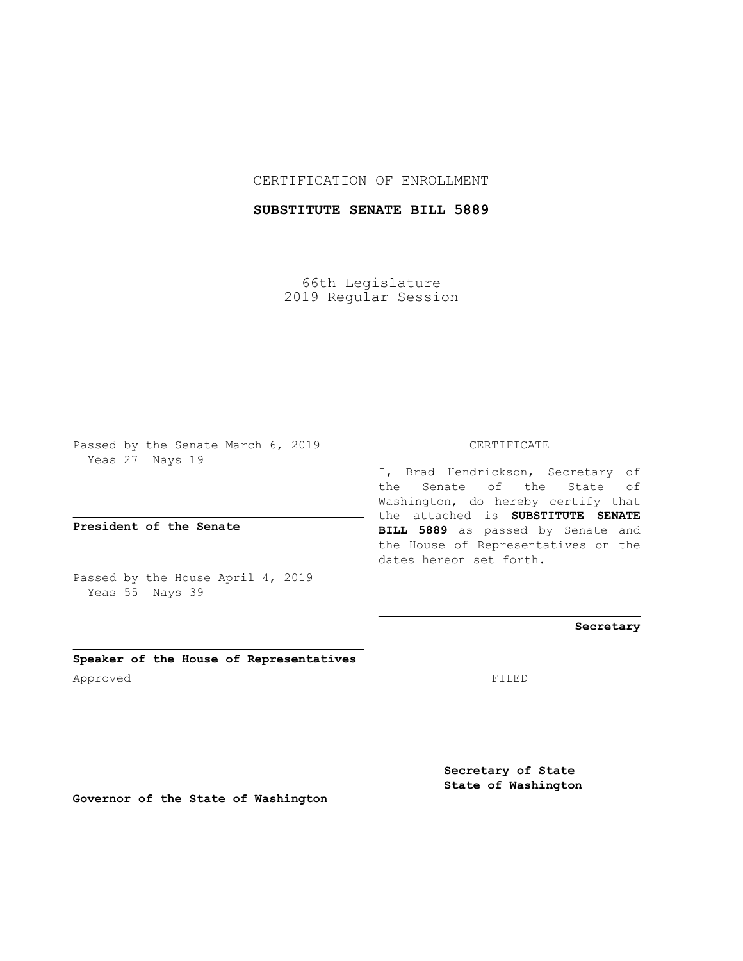## CERTIFICATION OF ENROLLMENT

# **SUBSTITUTE SENATE BILL 5889**

66th Legislature 2019 Regular Session

Passed by the Senate March 6, 2019 Yeas 27 Nays 19

**President of the Senate**

Passed by the House April 4, 2019 Yeas 55 Nays 39

**Speaker of the House of Representatives** Approved FILED

#### CERTIFICATE

I, Brad Hendrickson, Secretary of the Senate of the State of Washington, do hereby certify that the attached is **SUBSTITUTE SENATE BILL 5889** as passed by Senate and the House of Representatives on the dates hereon set forth.

## **Secretary**

**Secretary of State State of Washington**

**Governor of the State of Washington**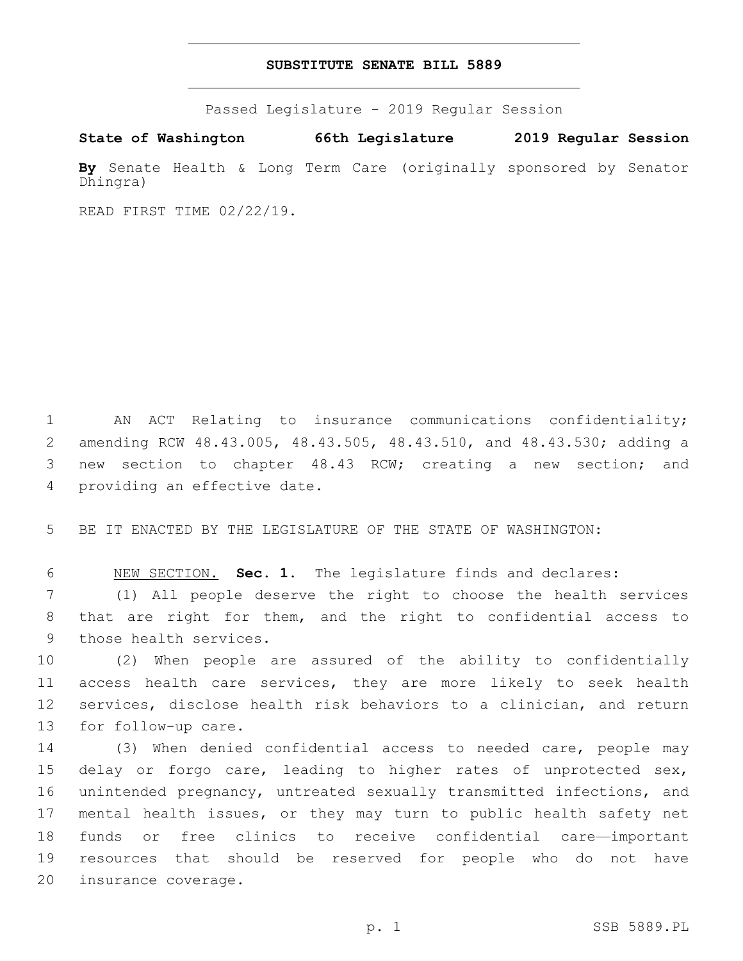## **SUBSTITUTE SENATE BILL 5889**

Passed Legislature - 2019 Regular Session

**State of Washington 66th Legislature 2019 Regular Session**

**By** Senate Health & Long Term Care (originally sponsored by Senator Dhingra)

READ FIRST TIME 02/22/19.

 AN ACT Relating to insurance communications confidentiality; amending RCW 48.43.005, 48.43.505, 48.43.510, and 48.43.530; adding a new section to chapter 48.43 RCW; creating a new section; and 4 providing an effective date.

5 BE IT ENACTED BY THE LEGISLATURE OF THE STATE OF WASHINGTON:

6 NEW SECTION. **Sec. 1.** The legislature finds and declares:

7 (1) All people deserve the right to choose the health services 8 that are right for them, and the right to confidential access to 9 those health services.

 (2) When people are assured of the ability to confidentially access health care services, they are more likely to seek health services, disclose health risk behaviors to a clinician, and return 13 for follow-up care.

 (3) When denied confidential access to needed care, people may delay or forgo care, leading to higher rates of unprotected sex, unintended pregnancy, untreated sexually transmitted infections, and mental health issues, or they may turn to public health safety net funds or free clinics to receive confidential care—important resources that should be reserved for people who do not have 20 insurance coverage.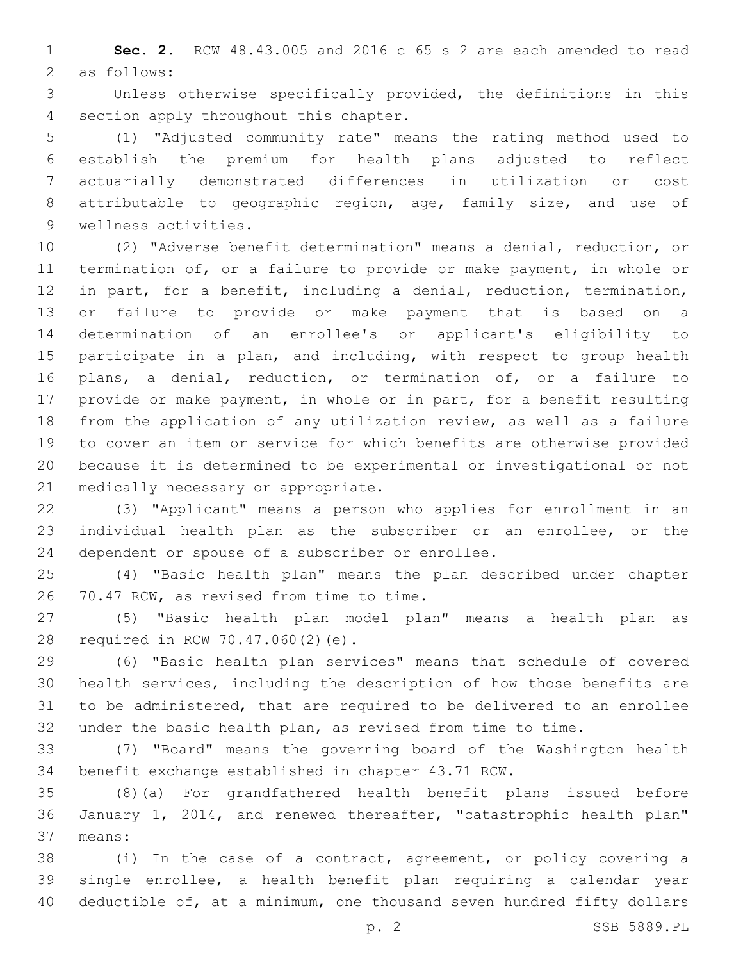**Sec. 2.** RCW 48.43.005 and 2016 c 65 s 2 are each amended to read 2 as follows:

 Unless otherwise specifically provided, the definitions in this 4 section apply throughout this chapter.

 (1) "Adjusted community rate" means the rating method used to establish the premium for health plans adjusted to reflect actuarially demonstrated differences in utilization or cost attributable to geographic region, age, family size, and use of 9 wellness activities.

 (2) "Adverse benefit determination" means a denial, reduction, or termination of, or a failure to provide or make payment, in whole or in part, for a benefit, including a denial, reduction, termination, or failure to provide or make payment that is based on a determination of an enrollee's or applicant's eligibility to 15 participate in a plan, and including, with respect to group health plans, a denial, reduction, or termination of, or a failure to provide or make payment, in whole or in part, for a benefit resulting from the application of any utilization review, as well as a failure to cover an item or service for which benefits are otherwise provided because it is determined to be experimental or investigational or not 21 medically necessary or appropriate.

 (3) "Applicant" means a person who applies for enrollment in an individual health plan as the subscriber or an enrollee, or the 24 dependent or spouse of a subscriber or enrollee.

 (4) "Basic health plan" means the plan described under chapter 26 70.47 RCW, as revised from time to time.

 (5) "Basic health plan model plan" means a health plan as 28 required in RCW 70.47.060(2)(e).

 (6) "Basic health plan services" means that schedule of covered health services, including the description of how those benefits are to be administered, that are required to be delivered to an enrollee under the basic health plan, as revised from time to time.

 (7) "Board" means the governing board of the Washington health benefit exchange established in chapter 43.71 RCW.

 (8)(a) For grandfathered health benefit plans issued before January 1, 2014, and renewed thereafter, "catastrophic health plan" means:37

 (i) In the case of a contract, agreement, or policy covering a single enrollee, a health benefit plan requiring a calendar year deductible of, at a minimum, one thousand seven hundred fifty dollars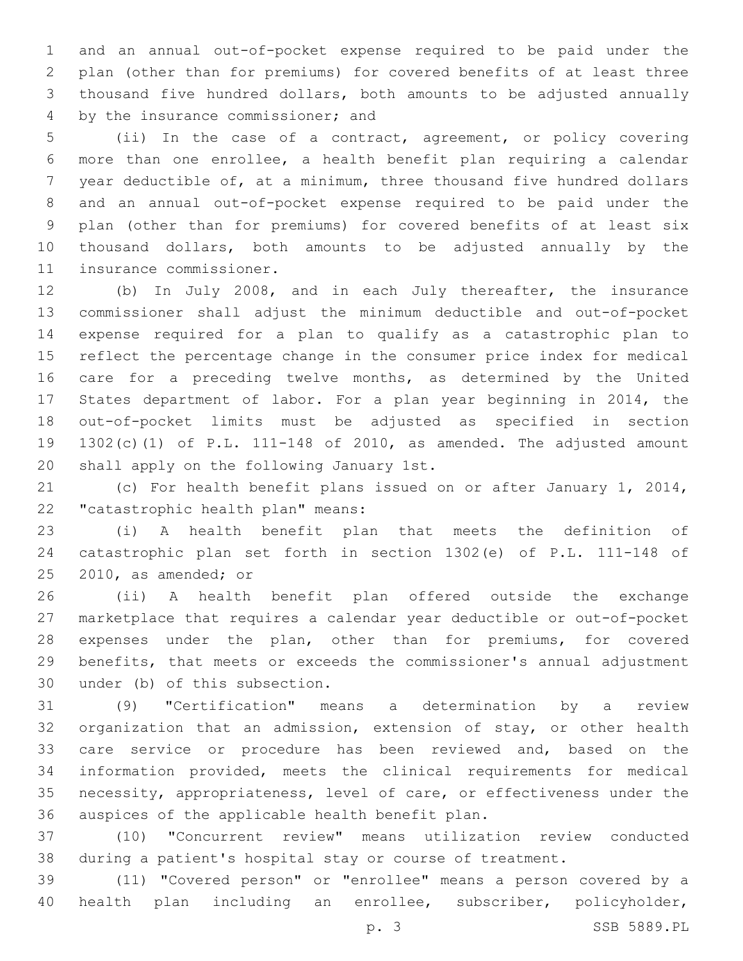and an annual out-of-pocket expense required to be paid under the plan (other than for premiums) for covered benefits of at least three thousand five hundred dollars, both amounts to be adjusted annually 4 by the insurance commissioner; and

 (ii) In the case of a contract, agreement, or policy covering more than one enrollee, a health benefit plan requiring a calendar year deductible of, at a minimum, three thousand five hundred dollars and an annual out-of-pocket expense required to be paid under the plan (other than for premiums) for covered benefits of at least six thousand dollars, both amounts to be adjusted annually by the 11 insurance commissioner.

 (b) In July 2008, and in each July thereafter, the insurance commissioner shall adjust the minimum deductible and out-of-pocket expense required for a plan to qualify as a catastrophic plan to reflect the percentage change in the consumer price index for medical care for a preceding twelve months, as determined by the United States department of labor. For a plan year beginning in 2014, the out-of-pocket limits must be adjusted as specified in section 1302(c)(1) of P.L. 111-148 of 2010, as amended. The adjusted amount 20 shall apply on the following January 1st.

 (c) For health benefit plans issued on or after January 1, 2014, 22 "catastrophic health plan" means:

 (i) A health benefit plan that meets the definition of catastrophic plan set forth in section 1302(e) of P.L. 111-148 of  $2010$ , as amended; or

 (ii) A health benefit plan offered outside the exchange marketplace that requires a calendar year deductible or out-of-pocket expenses under the plan, other than for premiums, for covered benefits, that meets or exceeds the commissioner's annual adjustment 30 under (b) of this subsection.

 (9) "Certification" means a determination by a review organization that an admission, extension of stay, or other health care service or procedure has been reviewed and, based on the information provided, meets the clinical requirements for medical necessity, appropriateness, level of care, or effectiveness under the 36 auspices of the applicable health benefit plan.

 (10) "Concurrent review" means utilization review conducted during a patient's hospital stay or course of treatment.

 (11) "Covered person" or "enrollee" means a person covered by a health plan including an enrollee, subscriber, policyholder,

p. 3 SSB 5889.PL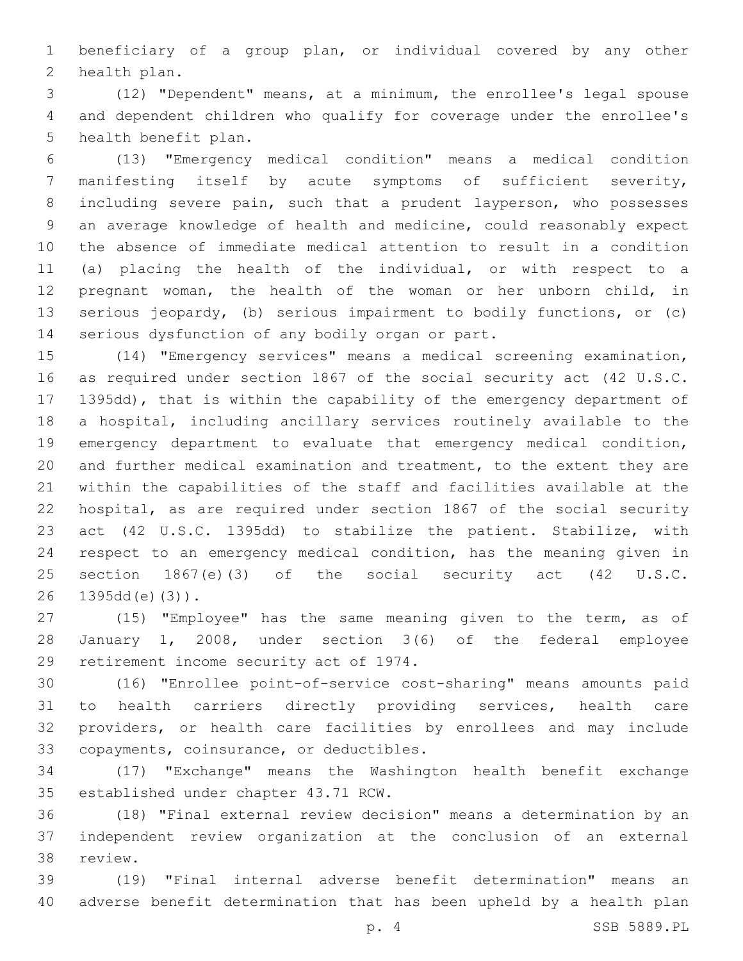beneficiary of a group plan, or individual covered by any other 2 health plan.

 (12) "Dependent" means, at a minimum, the enrollee's legal spouse and dependent children who qualify for coverage under the enrollee's 5 health benefit plan.

 (13) "Emergency medical condition" means a medical condition manifesting itself by acute symptoms of sufficient severity, including severe pain, such that a prudent layperson, who possesses an average knowledge of health and medicine, could reasonably expect the absence of immediate medical attention to result in a condition (a) placing the health of the individual, or with respect to a pregnant woman, the health of the woman or her unborn child, in serious jeopardy, (b) serious impairment to bodily functions, or (c) 14 serious dysfunction of any bodily organ or part.

 (14) "Emergency services" means a medical screening examination, as required under section 1867 of the social security act (42 U.S.C. 1395dd), that is within the capability of the emergency department of a hospital, including ancillary services routinely available to the emergency department to evaluate that emergency medical condition, and further medical examination and treatment, to the extent they are within the capabilities of the staff and facilities available at the hospital, as are required under section 1867 of the social security act (42 U.S.C. 1395dd) to stabilize the patient. Stabilize, with respect to an emergency medical condition, has the meaning given in section 1867(e)(3) of the social security act (42 U.S.C. 26 1395dd(e)(3)).

 (15) "Employee" has the same meaning given to the term, as of January 1, 2008, under section 3(6) of the federal employee 29 retirement income security act of 1974.

 (16) "Enrollee point-of-service cost-sharing" means amounts paid to health carriers directly providing services, health care providers, or health care facilities by enrollees and may include 33 copayments, coinsurance, or deductibles.

 (17) "Exchange" means the Washington health benefit exchange 35 established under chapter 43.71 RCW.

 (18) "Final external review decision" means a determination by an independent review organization at the conclusion of an external 38 review.

 (19) "Final internal adverse benefit determination" means an adverse benefit determination that has been upheld by a health plan

p. 4 SSB 5889.PL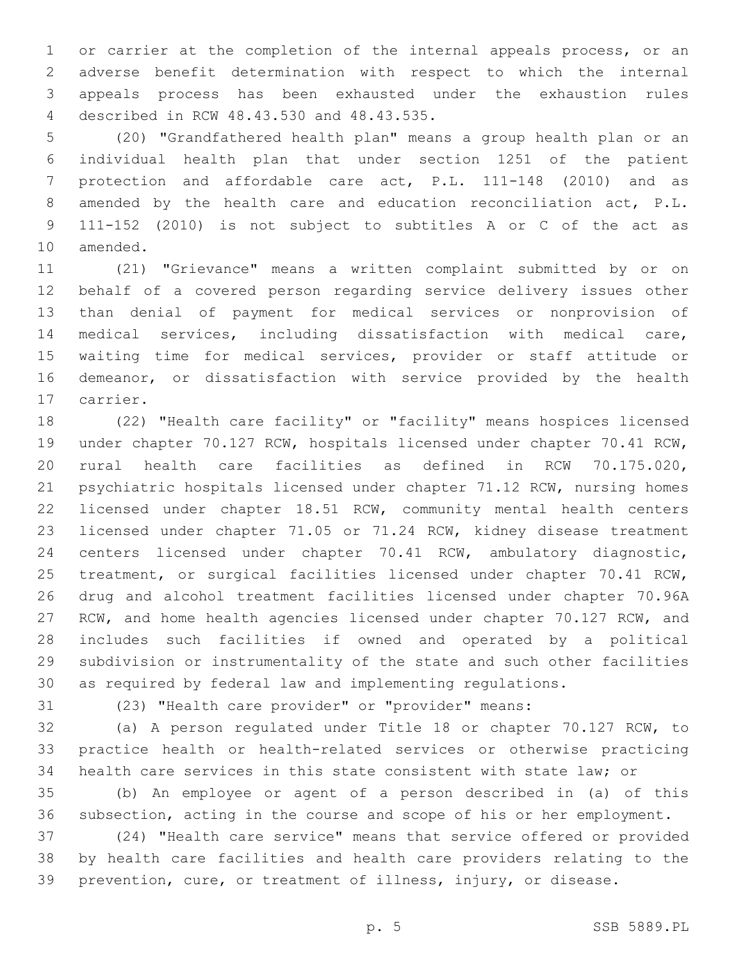or carrier at the completion of the internal appeals process, or an adverse benefit determination with respect to which the internal appeals process has been exhausted under the exhaustion rules described in RCW 48.43.530 and 48.43.535.4

 (20) "Grandfathered health plan" means a group health plan or an individual health plan that under section 1251 of the patient protection and affordable care act, P.L. 111-148 (2010) and as amended by the health care and education reconciliation act, P.L. 111-152 (2010) is not subject to subtitles A or C of the act as 10 amended.

 (21) "Grievance" means a written complaint submitted by or on behalf of a covered person regarding service delivery issues other than denial of payment for medical services or nonprovision of medical services, including dissatisfaction with medical care, waiting time for medical services, provider or staff attitude or demeanor, or dissatisfaction with service provided by the health 17 carrier.

 (22) "Health care facility" or "facility" means hospices licensed under chapter 70.127 RCW, hospitals licensed under chapter 70.41 RCW, rural health care facilities as defined in RCW 70.175.020, psychiatric hospitals licensed under chapter 71.12 RCW, nursing homes licensed under chapter 18.51 RCW, community mental health centers licensed under chapter 71.05 or 71.24 RCW, kidney disease treatment centers licensed under chapter 70.41 RCW, ambulatory diagnostic, treatment, or surgical facilities licensed under chapter 70.41 RCW, drug and alcohol treatment facilities licensed under chapter 70.96A RCW, and home health agencies licensed under chapter 70.127 RCW, and includes such facilities if owned and operated by a political subdivision or instrumentality of the state and such other facilities as required by federal law and implementing regulations.

(23) "Health care provider" or "provider" means:

 (a) A person regulated under Title 18 or chapter 70.127 RCW, to practice health or health-related services or otherwise practicing health care services in this state consistent with state law; or

 (b) An employee or agent of a person described in (a) of this subsection, acting in the course and scope of his or her employment.

 (24) "Health care service" means that service offered or provided by health care facilities and health care providers relating to the prevention, cure, or treatment of illness, injury, or disease.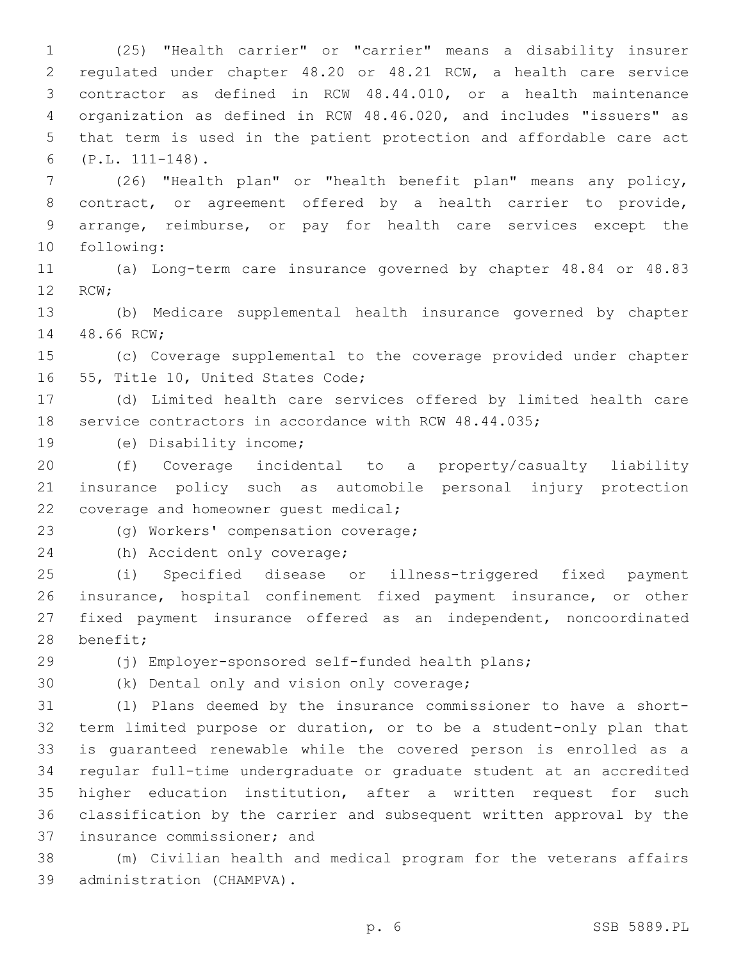(25) "Health carrier" or "carrier" means a disability insurer regulated under chapter 48.20 or 48.21 RCW, a health care service contractor as defined in RCW 48.44.010, or a health maintenance organization as defined in RCW 48.46.020, and includes "issuers" as that term is used in the patient protection and affordable care act (P.L. 111-148).6

 (26) "Health plan" or "health benefit plan" means any policy, contract, or agreement offered by a health carrier to provide, arrange, reimburse, or pay for health care services except the 10 following:

 (a) Long-term care insurance governed by chapter 48.84 or 48.83 12 RCW;

 (b) Medicare supplemental health insurance governed by chapter 14 48.66 RCW;

 (c) Coverage supplemental to the coverage provided under chapter 16 55, Title 10, United States Code;

 (d) Limited health care services offered by limited health care service contractors in accordance with RCW 48.44.035;

19 (e) Disability income;

 (f) Coverage incidental to a property/casualty liability insurance policy such as automobile personal injury protection 22 coverage and homeowner quest medical;

23 (g) Workers' compensation coverage;

24 (h) Accident only coverage;

 (i) Specified disease or illness-triggered fixed payment insurance, hospital confinement fixed payment insurance, or other fixed payment insurance offered as an independent, noncoordinated 28 benefit;

(j) Employer-sponsored self-funded health plans;

30 (k) Dental only and vision only coverage;

 (l) Plans deemed by the insurance commissioner to have a short- term limited purpose or duration, or to be a student-only plan that is guaranteed renewable while the covered person is enrolled as a regular full-time undergraduate or graduate student at an accredited higher education institution, after a written request for such classification by the carrier and subsequent written approval by the 37 insurance commissioner; and

 (m) Civilian health and medical program for the veterans affairs 39 administration (CHAMPVA).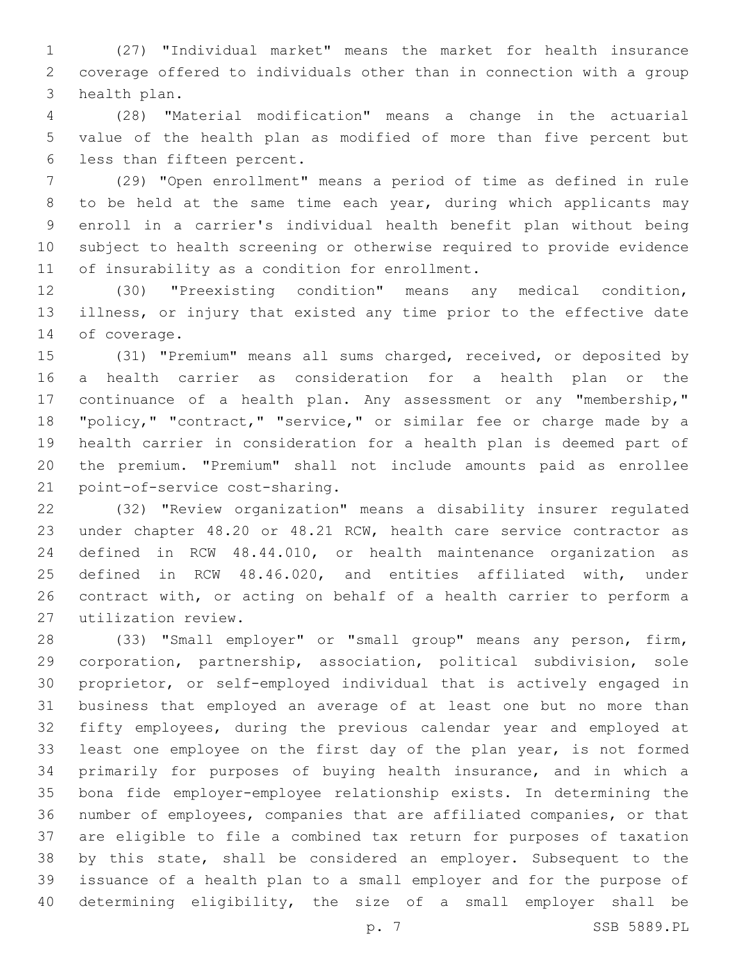(27) "Individual market" means the market for health insurance coverage offered to individuals other than in connection with a group 3 health plan.

 (28) "Material modification" means a change in the actuarial value of the health plan as modified of more than five percent but 6 less than fifteen percent.

 (29) "Open enrollment" means a period of time as defined in rule to be held at the same time each year, during which applicants may enroll in a carrier's individual health benefit plan without being subject to health screening or otherwise required to provide evidence 11 of insurability as a condition for enrollment.

 (30) "Preexisting condition" means any medical condition, illness, or injury that existed any time prior to the effective date 14 of coverage.

 (31) "Premium" means all sums charged, received, or deposited by a health carrier as consideration for a health plan or the continuance of a health plan. Any assessment or any "membership," "policy," "contract," "service," or similar fee or charge made by a health carrier in consideration for a health plan is deemed part of the premium. "Premium" shall not include amounts paid as enrollee 21 point-of-service cost-sharing.

 (32) "Review organization" means a disability insurer regulated under chapter 48.20 or 48.21 RCW, health care service contractor as defined in RCW 48.44.010, or health maintenance organization as defined in RCW 48.46.020, and entities affiliated with, under contract with, or acting on behalf of a health carrier to perform a utilization review.27

 (33) "Small employer" or "small group" means any person, firm, corporation, partnership, association, political subdivision, sole proprietor, or self-employed individual that is actively engaged in business that employed an average of at least one but no more than fifty employees, during the previous calendar year and employed at least one employee on the first day of the plan year, is not formed primarily for purposes of buying health insurance, and in which a bona fide employer-employee relationship exists. In determining the number of employees, companies that are affiliated companies, or that are eligible to file a combined tax return for purposes of taxation by this state, shall be considered an employer. Subsequent to the issuance of a health plan to a small employer and for the purpose of determining eligibility, the size of a small employer shall be

p. 7 SSB 5889.PL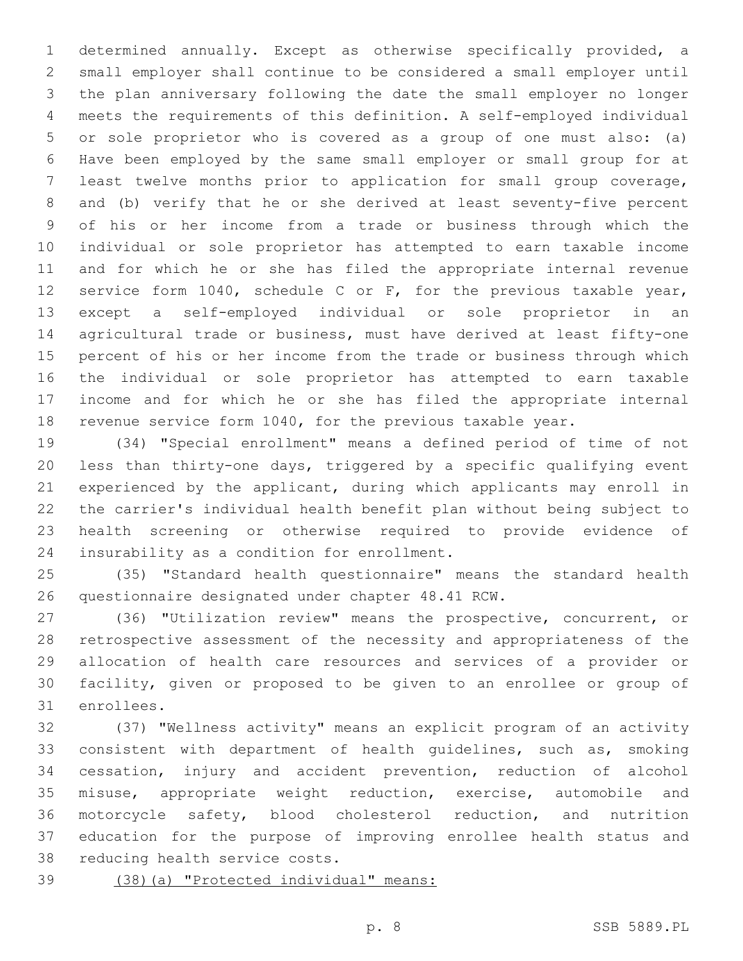determined annually. Except as otherwise specifically provided, a small employer shall continue to be considered a small employer until the plan anniversary following the date the small employer no longer meets the requirements of this definition. A self-employed individual or sole proprietor who is covered as a group of one must also: (a) Have been employed by the same small employer or small group for at least twelve months prior to application for small group coverage, and (b) verify that he or she derived at least seventy-five percent of his or her income from a trade or business through which the individual or sole proprietor has attempted to earn taxable income and for which he or she has filed the appropriate internal revenue service form 1040, schedule C or F, for the previous taxable year, except a self-employed individual or sole proprietor in an agricultural trade or business, must have derived at least fifty-one percent of his or her income from the trade or business through which the individual or sole proprietor has attempted to earn taxable income and for which he or she has filed the appropriate internal revenue service form 1040, for the previous taxable year.

 (34) "Special enrollment" means a defined period of time of not less than thirty-one days, triggered by a specific qualifying event experienced by the applicant, during which applicants may enroll in the carrier's individual health benefit plan without being subject to health screening or otherwise required to provide evidence of 24 insurability as a condition for enrollment.

 (35) "Standard health questionnaire" means the standard health 26 questionnaire designated under chapter 48.41 RCW.

 (36) "Utilization review" means the prospective, concurrent, or retrospective assessment of the necessity and appropriateness of the allocation of health care resources and services of a provider or facility, given or proposed to be given to an enrollee or group of 31 enrollees.

 (37) "Wellness activity" means an explicit program of an activity consistent with department of health guidelines, such as, smoking cessation, injury and accident prevention, reduction of alcohol misuse, appropriate weight reduction, exercise, automobile and motorcycle safety, blood cholesterol reduction, and nutrition education for the purpose of improving enrollee health status and 38 reducing health service costs.

(38)(a) "Protected individual" means: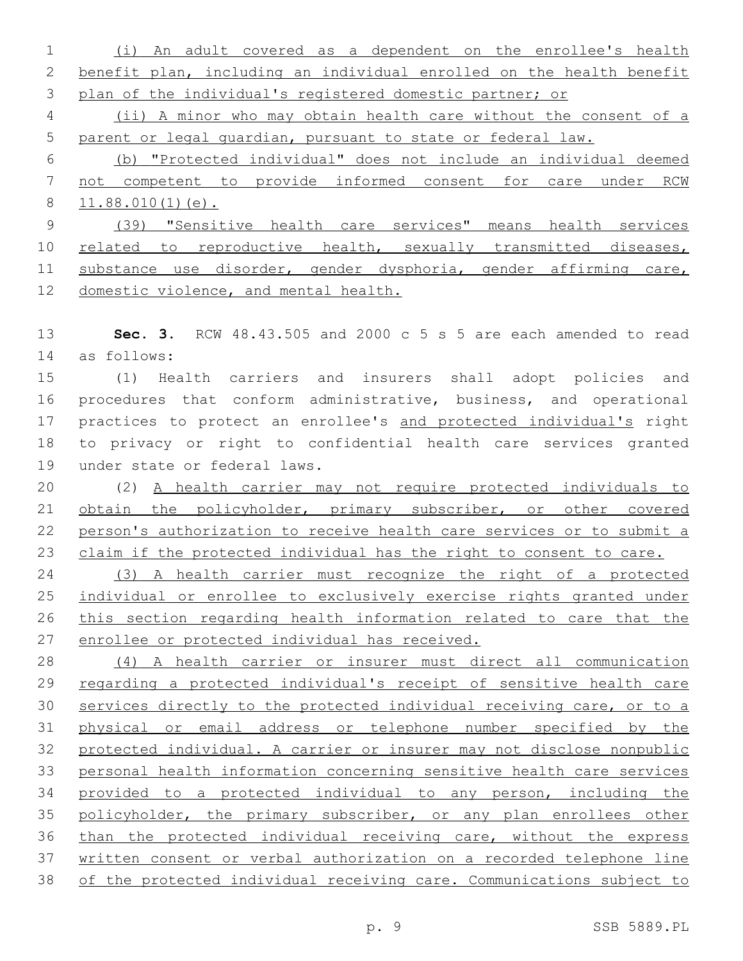(i) An adult covered as a dependent on the enrollee's health benefit plan, including an individual enrolled on the health benefit plan of the individual's registered domestic partner; or

 (ii) A minor who may obtain health care without the consent of a parent or legal guardian, pursuant to state or federal law.

 (b) "Protected individual" does not include an individual deemed not competent to provide informed consent for care under RCW 11.88.010(1)(e).

 (39) "Sensitive health care services" means health services 10 related to reproductive health, sexually transmitted diseases, substance use disorder, gender dysphoria, gender affirming care, domestic violence, and mental health.

 **Sec. 3.** RCW 48.43.505 and 2000 c 5 s 5 are each amended to read as follows:14

 (1) Health carriers and insurers shall adopt policies and procedures that conform administrative, business, and operational practices to protect an enrollee's and protected individual's right to privacy or right to confidential health care services granted 19 under state or federal laws.

 (2) A health carrier may not require protected individuals to obtain the policyholder, primary subscriber, or other covered person's authorization to receive health care services or to submit a 23 claim if the protected individual has the right to consent to care.

 (3) A health carrier must recognize the right of a protected individual or enrollee to exclusively exercise rights granted under this section regarding health information related to care that the enrollee or protected individual has received.

 (4) A health carrier or insurer must direct all communication 29 regarding a protected individual's receipt of sensitive health care services directly to the protected individual receiving care, or to a physical or email address or telephone number specified by the protected individual. A carrier or insurer may not disclose nonpublic personal health information concerning sensitive health care services provided to a protected individual to any person, including the 35 policyholder, the primary subscriber, or any plan enrollees other than the protected individual receiving care, without the express written consent or verbal authorization on a recorded telephone line of the protected individual receiving care. Communications subject to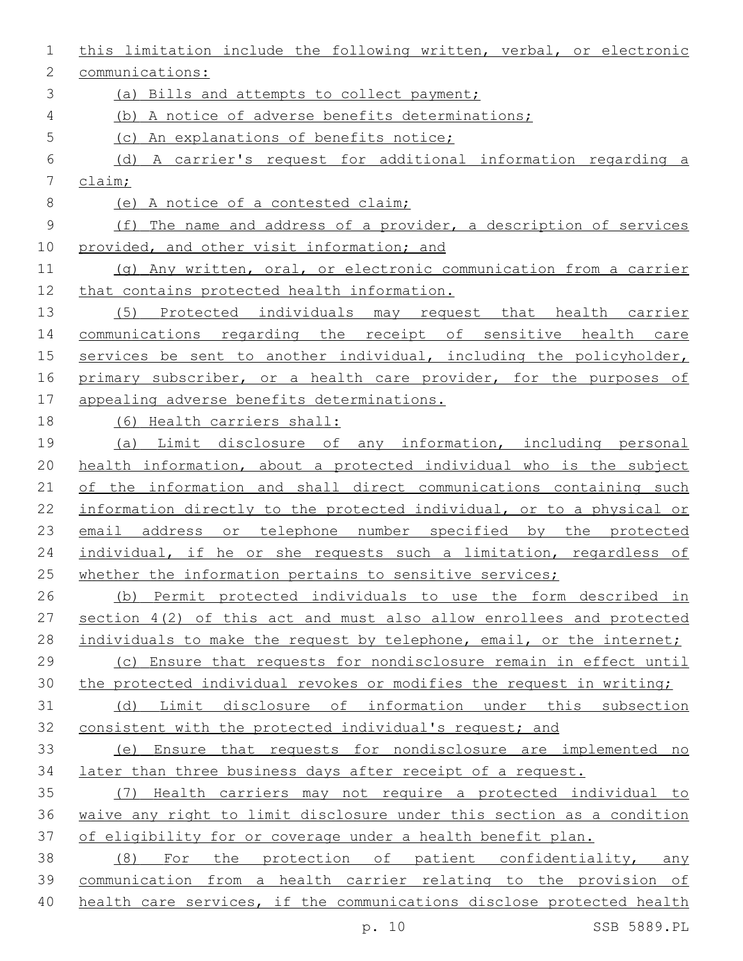| 1           | this limitation include the following written, verbal, or electronic   |
|-------------|------------------------------------------------------------------------|
| 2           | communications:                                                        |
| 3           | (a) Bills and attempts to collect payment;                             |
| 4           | (b) A notice of adverse benefits determinations;                       |
| 5           | (c) An explanations of benefits notice;                                |
| 6           | (d) A carrier's request for additional information regarding a         |
| 7           | $\frac{\text{claim}}{\text{.}}$                                        |
| $8\,$       | (e) A notice of a contested claim;                                     |
| $\mathsf 9$ | (f) The name and address of a provider, a description of services      |
| 10          | provided, and other visit information; and                             |
| 11          | (g) Any written, oral, or electronic communication from a carrier      |
| 12          | that contains protected health information.                            |
| 13          | (5) Protected individuals may request that health carrier              |
| 14          | communications regarding the receipt of sensitive health care          |
| 15          | services be sent to another individual, including the policyholder,    |
| 16          | primary subscriber, or a health care provider, for the purposes of     |
| 17          | appealing adverse benefits determinations.                             |
| 18          | (6) Health carriers shall:                                             |
| 19          | (a) Limit disclosure of any information, including personal            |
| 20          | health information, about a protected individual who is the subject    |
| 21          | of the information and shall direct communications containing such     |
| 22          | information directly to the protected individual, or to a physical or  |
| 23          | email address or telephone number specified by the protected           |
| 24          | individual, if he or she requests such a limitation, regardless of     |
| 25          | whether the information pertains to sensitive services;                |
| 26          | (b) Permit protected individuals to use the form described in          |
| 27          | section $4(2)$ of this act and must also allow enrollees and protected |
| 28          | individuals to make the request by telephone, email, or the internet;  |
| 29          | (c) Ensure that requests for nondisclosure remain in effect until      |
| 30          | the protected individual revokes or modifies the request in writing;   |
| 31          | Limit disclosure of information under this subsection<br>(d)           |
| 32          | consistent with the protected individual's request; and                |
| 33          | (e) Ensure that requests for nondisclosure are implemented no          |
| 34          | later than three business days after receipt of a request.             |
| 35          | (7) Health carriers may not require a protected individual to          |
| 36          | waive any right to limit disclosure under this section as a condition  |
| 37          | of eligibility for or coverage under a health benefit plan.            |
| 38          | (8) For the protection of patient confidentiality, any                 |
| 39          | communication from a health carrier relating to the provision of       |
| 40          | health care services, if the communications disclose protected health  |

p. 10 SSB 5889.PL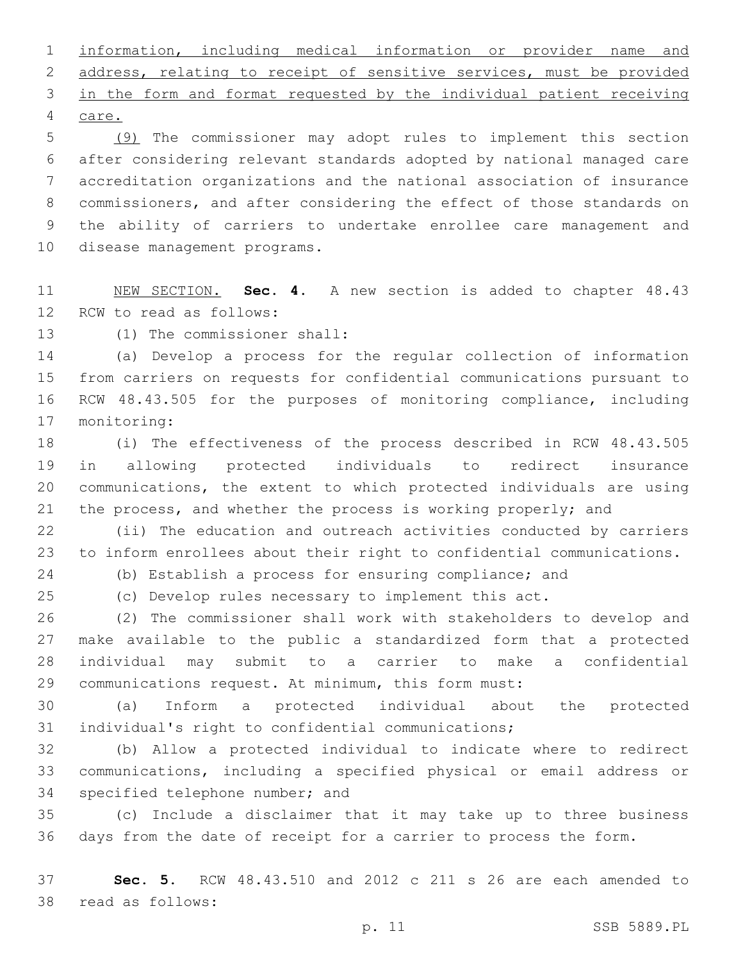information, including medical information or provider name and address, relating to receipt of sensitive services, must be provided in the form and format requested by the individual patient receiving 4 care.

 (9) The commissioner may adopt rules to implement this section after considering relevant standards adopted by national managed care accreditation organizations and the national association of insurance commissioners, and after considering the effect of those standards on the ability of carriers to undertake enrollee care management and 10 disease management programs.

 NEW SECTION. **Sec. 4.** A new section is added to chapter 48.43 12 RCW to read as follows:

13 (1) The commissioner shall:

 (a) Develop a process for the regular collection of information from carriers on requests for confidential communications pursuant to RCW 48.43.505 for the purposes of monitoring compliance, including 17 monitoring:

 (i) The effectiveness of the process described in RCW 48.43.505 in allowing protected individuals to redirect insurance communications, the extent to which protected individuals are using the process, and whether the process is working properly; and

 (ii) The education and outreach activities conducted by carriers to inform enrollees about their right to confidential communications.

(b) Establish a process for ensuring compliance; and

(c) Develop rules necessary to implement this act.

 (2) The commissioner shall work with stakeholders to develop and make available to the public a standardized form that a protected individual may submit to a carrier to make a confidential communications request. At minimum, this form must:

 (a) Inform a protected individual about the protected individual's right to confidential communications;

 (b) Allow a protected individual to indicate where to redirect communications, including a specified physical or email address or 34 specified telephone number; and

 (c) Include a disclaimer that it may take up to three business days from the date of receipt for a carrier to process the form.

 **Sec. 5.** RCW 48.43.510 and 2012 c 211 s 26 are each amended to 38 read as follows: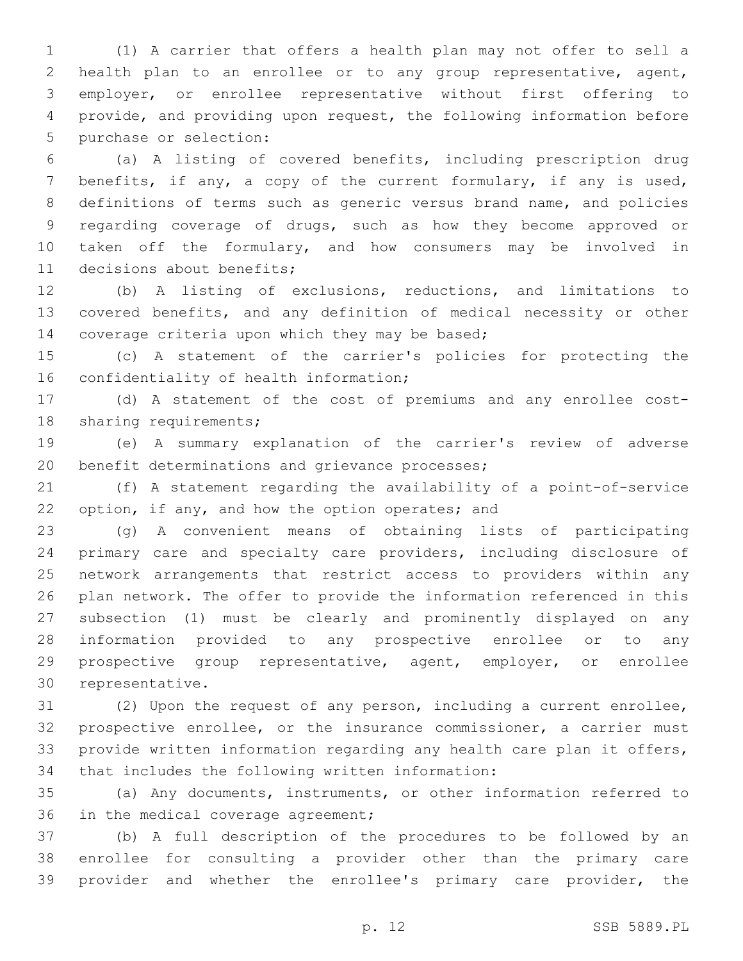(1) A carrier that offers a health plan may not offer to sell a health plan to an enrollee or to any group representative, agent, employer, or enrollee representative without first offering to provide, and providing upon request, the following information before 5 purchase or selection:

 (a) A listing of covered benefits, including prescription drug benefits, if any, a copy of the current formulary, if any is used, definitions of terms such as generic versus brand name, and policies regarding coverage of drugs, such as how they become approved or taken off the formulary, and how consumers may be involved in 11 decisions about benefits;

 (b) A listing of exclusions, reductions, and limitations to covered benefits, and any definition of medical necessity or other 14 coverage criteria upon which they may be based;

 (c) A statement of the carrier's policies for protecting the 16 confidentiality of health information;

 (d) A statement of the cost of premiums and any enrollee cost-18 sharing requirements;

 (e) A summary explanation of the carrier's review of adverse 20 benefit determinations and grievance processes;

 (f) A statement regarding the availability of a point-of-service 22 option, if any, and how the option operates; and

 (g) A convenient means of obtaining lists of participating primary care and specialty care providers, including disclosure of network arrangements that restrict access to providers within any plan network. The offer to provide the information referenced in this subsection (1) must be clearly and prominently displayed on any information provided to any prospective enrollee or to any prospective group representative, agent, employer, or enrollee 30 representative.

 (2) Upon the request of any person, including a current enrollee, prospective enrollee, or the insurance commissioner, a carrier must provide written information regarding any health care plan it offers, 34 that includes the following written information:

 (a) Any documents, instruments, or other information referred to 36 in the medical coverage agreement;

 (b) A full description of the procedures to be followed by an enrollee for consulting a provider other than the primary care provider and whether the enrollee's primary care provider, the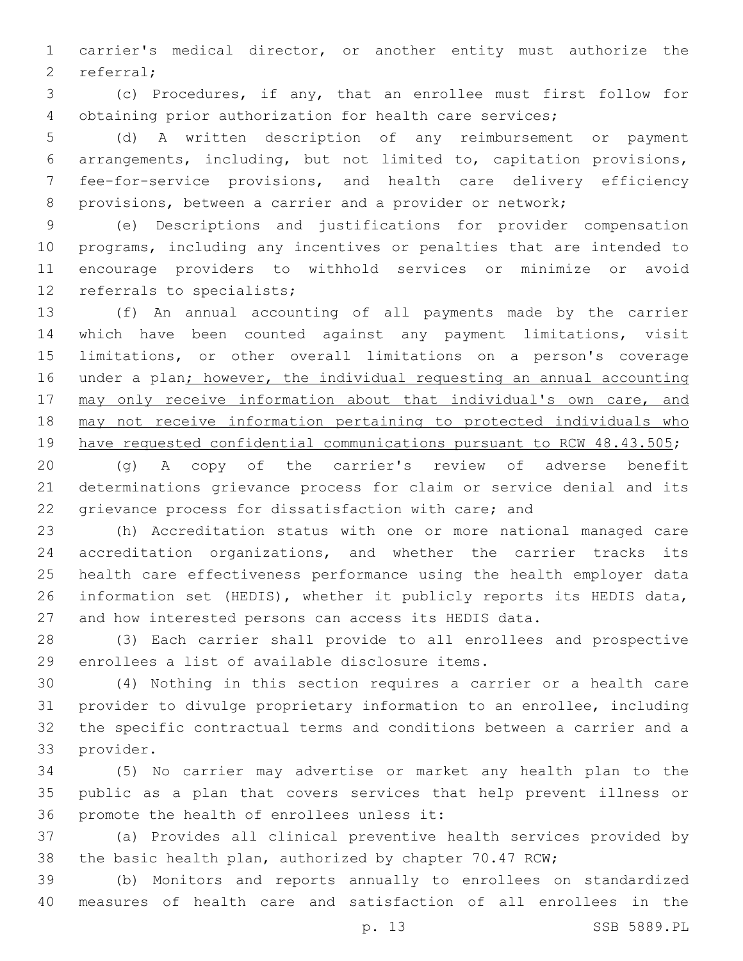carrier's medical director, or another entity must authorize the 2 referral;

 (c) Procedures, if any, that an enrollee must first follow for obtaining prior authorization for health care services;

 (d) A written description of any reimbursement or payment arrangements, including, but not limited to, capitation provisions, fee-for-service provisions, and health care delivery efficiency provisions, between a carrier and a provider or network;

 (e) Descriptions and justifications for provider compensation programs, including any incentives or penalties that are intended to encourage providers to withhold services or minimize or avoid 12 referrals to specialists;

 (f) An annual accounting of all payments made by the carrier which have been counted against any payment limitations, visit limitations, or other overall limitations on a person's coverage under a plan; however, the individual requesting an annual accounting 17 may only receive information about that individual's own care, and may not receive information pertaining to protected individuals who have requested confidential communications pursuant to RCW 48.43.505;

 (g) A copy of the carrier's review of adverse benefit determinations grievance process for claim or service denial and its grievance process for dissatisfaction with care; and

 (h) Accreditation status with one or more national managed care accreditation organizations, and whether the carrier tracks its health care effectiveness performance using the health employer data information set (HEDIS), whether it publicly reports its HEDIS data, and how interested persons can access its HEDIS data.

 (3) Each carrier shall provide to all enrollees and prospective 29 enrollees a list of available disclosure items.

 (4) Nothing in this section requires a carrier or a health care provider to divulge proprietary information to an enrollee, including the specific contractual terms and conditions between a carrier and a 33 provider.

 (5) No carrier may advertise or market any health plan to the public as a plan that covers services that help prevent illness or 36 promote the health of enrollees unless it:

 (a) Provides all clinical preventive health services provided by the basic health plan, authorized by chapter 70.47 RCW;

 (b) Monitors and reports annually to enrollees on standardized measures of health care and satisfaction of all enrollees in the

p. 13 SSB 5889.PL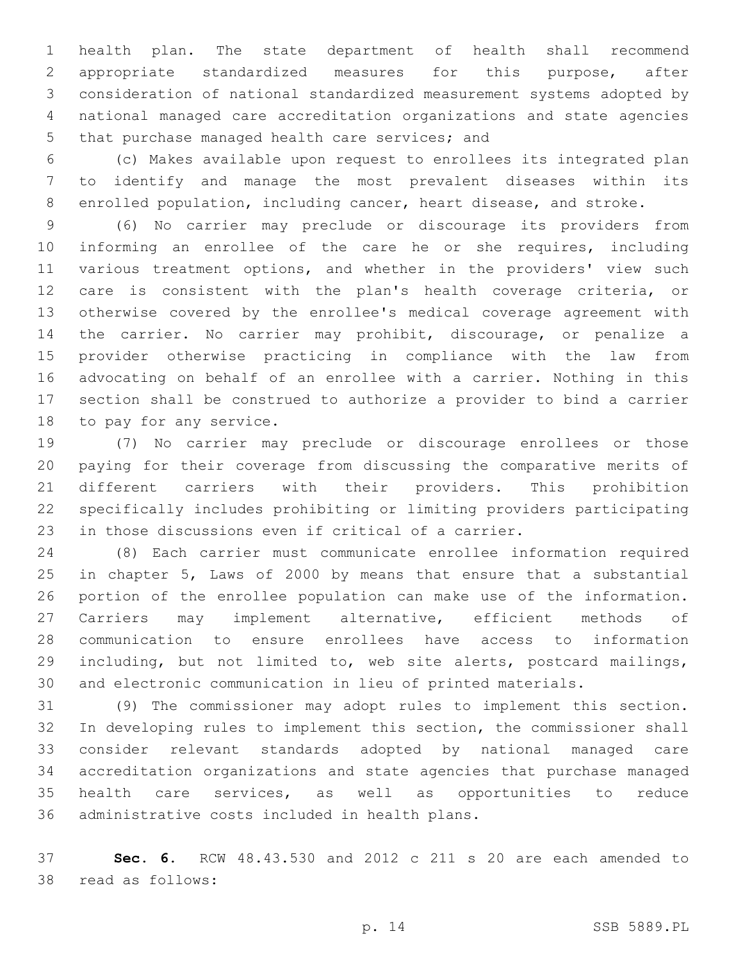health plan. The state department of health shall recommend appropriate standardized measures for this purpose, after consideration of national standardized measurement systems adopted by national managed care accreditation organizations and state agencies 5 that purchase managed health care services; and

 (c) Makes available upon request to enrollees its integrated plan to identify and manage the most prevalent diseases within its enrolled population, including cancer, heart disease, and stroke.

 (6) No carrier may preclude or discourage its providers from informing an enrollee of the care he or she requires, including various treatment options, and whether in the providers' view such care is consistent with the plan's health coverage criteria, or otherwise covered by the enrollee's medical coverage agreement with the carrier. No carrier may prohibit, discourage, or penalize a provider otherwise practicing in compliance with the law from advocating on behalf of an enrollee with a carrier. Nothing in this section shall be construed to authorize a provider to bind a carrier 18 to pay for any service.

 (7) No carrier may preclude or discourage enrollees or those paying for their coverage from discussing the comparative merits of different carriers with their providers. This prohibition specifically includes prohibiting or limiting providers participating in those discussions even if critical of a carrier.

 (8) Each carrier must communicate enrollee information required in chapter 5, Laws of 2000 by means that ensure that a substantial portion of the enrollee population can make use of the information. Carriers may implement alternative, efficient methods of communication to ensure enrollees have access to information including, but not limited to, web site alerts, postcard mailings, and electronic communication in lieu of printed materials.

 (9) The commissioner may adopt rules to implement this section. In developing rules to implement this section, the commissioner shall consider relevant standards adopted by national managed care accreditation organizations and state agencies that purchase managed health care services, as well as opportunities to reduce 36 administrative costs included in health plans.

 **Sec. 6.** RCW 48.43.530 and 2012 c 211 s 20 are each amended to 38 read as follows: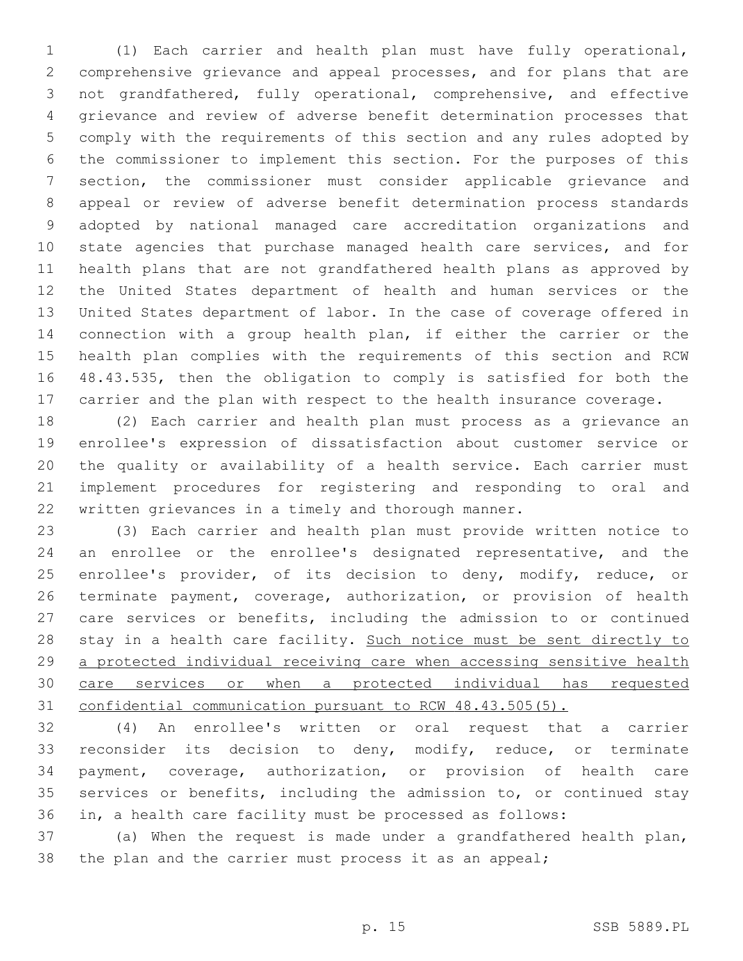(1) Each carrier and health plan must have fully operational, comprehensive grievance and appeal processes, and for plans that are not grandfathered, fully operational, comprehensive, and effective grievance and review of adverse benefit determination processes that comply with the requirements of this section and any rules adopted by the commissioner to implement this section. For the purposes of this section, the commissioner must consider applicable grievance and appeal or review of adverse benefit determination process standards adopted by national managed care accreditation organizations and state agencies that purchase managed health care services, and for health plans that are not grandfathered health plans as approved by the United States department of health and human services or the United States department of labor. In the case of coverage offered in connection with a group health plan, if either the carrier or the health plan complies with the requirements of this section and RCW 48.43.535, then the obligation to comply is satisfied for both the carrier and the plan with respect to the health insurance coverage.

 (2) Each carrier and health plan must process as a grievance an enrollee's expression of dissatisfaction about customer service or the quality or availability of a health service. Each carrier must implement procedures for registering and responding to oral and written grievances in a timely and thorough manner.

 (3) Each carrier and health plan must provide written notice to an enrollee or the enrollee's designated representative, and the 25 enrollee's provider, of its decision to deny, modify, reduce, or terminate payment, coverage, authorization, or provision of health care services or benefits, including the admission to or continued 28 stay in a health care facility. Such notice must be sent directly to 29 a protected individual receiving care when accessing sensitive health care services or when a protected individual has requested confidential communication pursuant to RCW 48.43.505(5).

 (4) An enrollee's written or oral request that a carrier reconsider its decision to deny, modify, reduce, or terminate payment, coverage, authorization, or provision of health care services or benefits, including the admission to, or continued stay in, a health care facility must be processed as follows:

 (a) When the request is made under a grandfathered health plan, the plan and the carrier must process it as an appeal;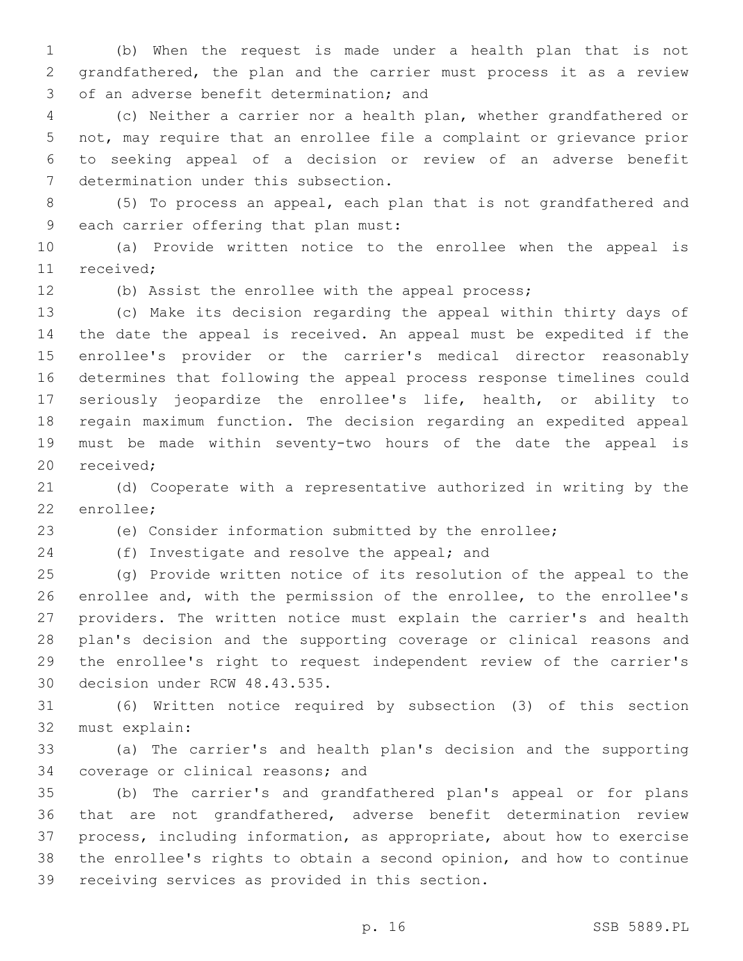(b) When the request is made under a health plan that is not grandfathered, the plan and the carrier must process it as a review 3 of an adverse benefit determination; and

 (c) Neither a carrier nor a health plan, whether grandfathered or not, may require that an enrollee file a complaint or grievance prior to seeking appeal of a decision or review of an adverse benefit 7 determination under this subsection.

 (5) To process an appeal, each plan that is not grandfathered and 9 each carrier offering that plan must:

 (a) Provide written notice to the enrollee when the appeal is 11 received:

(b) Assist the enrollee with the appeal process;

 (c) Make its decision regarding the appeal within thirty days of the date the appeal is received. An appeal must be expedited if the enrollee's provider or the carrier's medical director reasonably determines that following the appeal process response timelines could seriously jeopardize the enrollee's life, health, or ability to regain maximum function. The decision regarding an expedited appeal must be made within seventy-two hours of the date the appeal is 20 received;

 (d) Cooperate with a representative authorized in writing by the 22 enrollee;

(e) Consider information submitted by the enrollee;

24 (f) Investigate and resolve the appeal; and

 (g) Provide written notice of its resolution of the appeal to the enrollee and, with the permission of the enrollee, to the enrollee's providers. The written notice must explain the carrier's and health plan's decision and the supporting coverage or clinical reasons and the enrollee's right to request independent review of the carrier's 30 decision under RCW 48.43.535.

 (6) Written notice required by subsection (3) of this section 32 must explain:

 (a) The carrier's and health plan's decision and the supporting 34 coverage or clinical reasons; and

 (b) The carrier's and grandfathered plan's appeal or for plans that are not grandfathered, adverse benefit determination review process, including information, as appropriate, about how to exercise the enrollee's rights to obtain a second opinion, and how to continue 39 receiving services as provided in this section.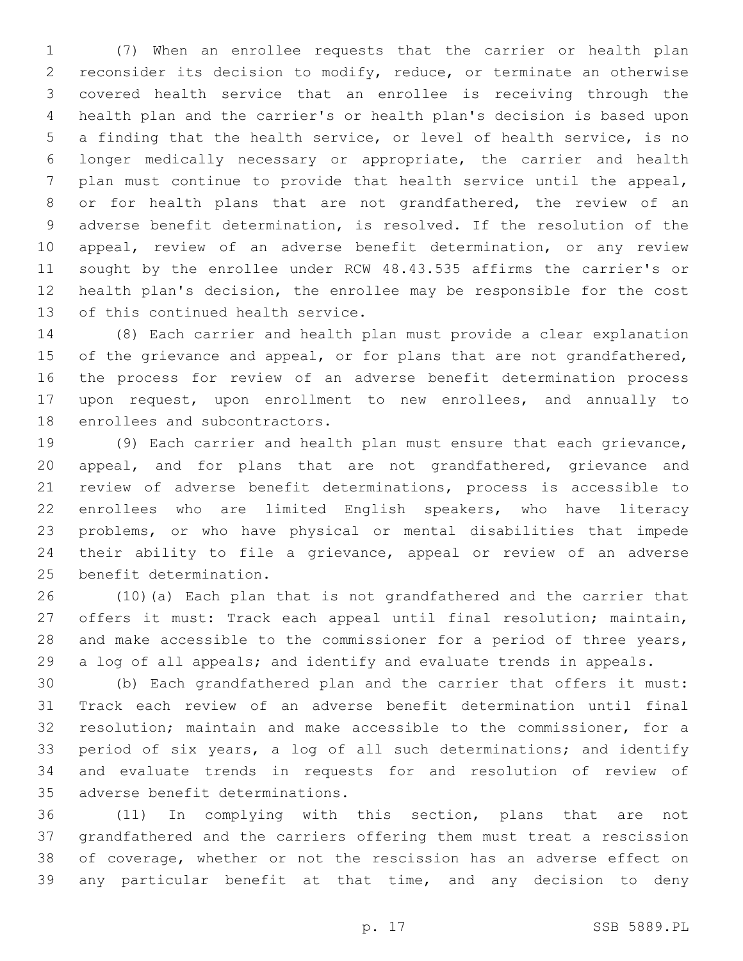(7) When an enrollee requests that the carrier or health plan reconsider its decision to modify, reduce, or terminate an otherwise covered health service that an enrollee is receiving through the health plan and the carrier's or health plan's decision is based upon a finding that the health service, or level of health service, is no longer medically necessary or appropriate, the carrier and health plan must continue to provide that health service until the appeal, or for health plans that are not grandfathered, the review of an adverse benefit determination, is resolved. If the resolution of the appeal, review of an adverse benefit determination, or any review sought by the enrollee under RCW 48.43.535 affirms the carrier's or health plan's decision, the enrollee may be responsible for the cost 13 of this continued health service.

 (8) Each carrier and health plan must provide a clear explanation 15 of the grievance and appeal, or for plans that are not grandfathered, the process for review of an adverse benefit determination process upon request, upon enrollment to new enrollees, and annually to 18 enrollees and subcontractors.

 (9) Each carrier and health plan must ensure that each grievance, appeal, and for plans that are not grandfathered, grievance and review of adverse benefit determinations, process is accessible to enrollees who are limited English speakers, who have literacy problems, or who have physical or mental disabilities that impede their ability to file a grievance, appeal or review of an adverse 25 benefit determination.

 (10)(a) Each plan that is not grandfathered and the carrier that offers it must: Track each appeal until final resolution; maintain, 28 and make accessible to the commissioner for a period of three years, a log of all appeals; and identify and evaluate trends in appeals.

 (b) Each grandfathered plan and the carrier that offers it must: Track each review of an adverse benefit determination until final resolution; maintain and make accessible to the commissioner, for a period of six years, a log of all such determinations; and identify and evaluate trends in requests for and resolution of review of 35 adverse benefit determinations.

 (11) In complying with this section, plans that are not grandfathered and the carriers offering them must treat a rescission of coverage, whether or not the rescission has an adverse effect on any particular benefit at that time, and any decision to deny